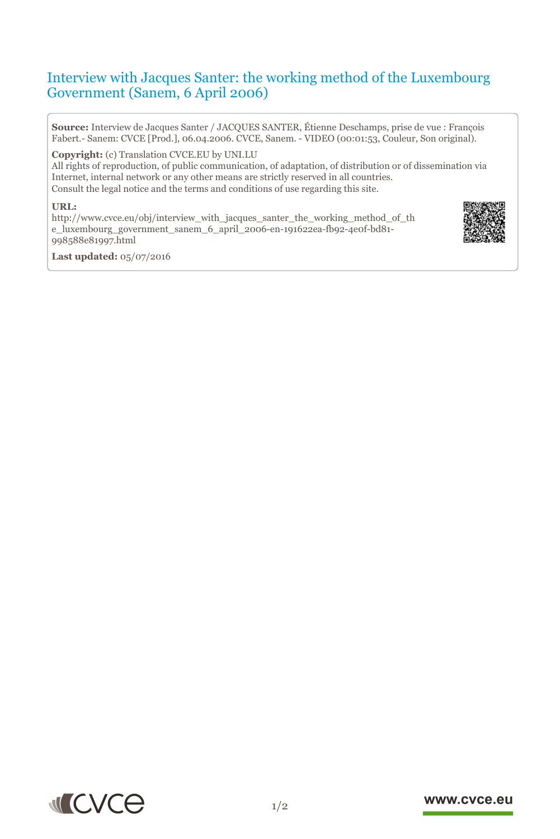# Interview with Jacques Santer: the working method of the Luxembourg Government (Sanem, 6 April 2006)

**Source:** Interview de Jacques Santer / JACQUES SANTER, Étienne Deschamps, prise de vue : François Fabert.- Sanem: CVCE [Prod.], 06.04.2006. CVCE, Sanem. - VIDEO (00:01:53, Couleur, Son original).

**Copyright:** (c) Translation CVCE.EU by UNI.LU

All rights of reproduction, of public communication, of adaptation, of distribution or of dissemination via Internet, internal network or any other means are strictly reserved in all countries. Consult the legal notice and the terms and conditions of use regarding this site.

#### **URL:**

http://www.cvce.eu/obj/interview\_with\_jacques\_santer\_the\_working\_method\_of\_th e\_l[uxembourg\\_government\\_sanem\\_6\\_april\\_2006-en-191622ea-fb92-4e0f-bd81-](http://www.cvce.eu/obj/interview_with_jacques_santer_the_working_method_of_the_luxembourg_government_sanem_6_april_2006-en-191622ea-fb92-4e0f-bd81-998588e81997.html) 998[588e81997.html](http://www.cvce.eu/obj/interview_with_jacques_santer_the_working_method_of_the_luxembourg_government_sanem_6_april_2006-en-191622ea-fb92-4e0f-bd81-998588e81997.html)



**Las[t updated:](http://www.cvce.eu/obj/interview_with_jacques_santer_the_working_method_of_the_luxembourg_government_sanem_6_april_2006-en-191622ea-fb92-4e0f-bd81-998588e81997.html)** 05/07/2016



### www.cvce.eu